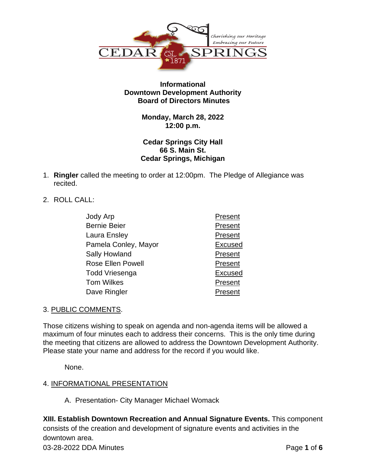

### **Informational Downtown Development Authority Board of Directors Minutes**

### **Monday, March 28, 2022 12:00 p.m.**

### **Cedar Springs City Hall 66 S. Main St. Cedar Springs, Michigan**

- 1. **Ringler** called the meeting to order at 12:00pm. The Pledge of Allegiance was recited.
- 2. ROLL CALL:

| Jody Arp                 | Present        |
|--------------------------|----------------|
| <b>Bernie Beier</b>      | Present        |
| Laura Ensley             | Present        |
| Pamela Conley, Mayor     | <b>Excused</b> |
| <b>Sally Howland</b>     | Present        |
| <b>Rose Ellen Powell</b> | Present        |
| Todd Vriesenga           | <b>Excused</b> |
| <b>Tom Wilkes</b>        | Present        |
| Dave Ringler             | Present        |

# 3. PUBLIC COMMENTS.

Those citizens wishing to speak on agenda and non-agenda items will be allowed a maximum of four minutes each to address their concerns. This is the only time during the meeting that citizens are allowed to address the Downtown Development Authority. Please state your name and address for the record if you would like.

None.

# 4. INFORMATIONAL PRESENTATION

A. Presentation- City Manager Michael Womack

**XIII. Establish Downtown Recreation and Annual Signature Events.** This component consists of the creation and development of signature events and activities in the downtown area.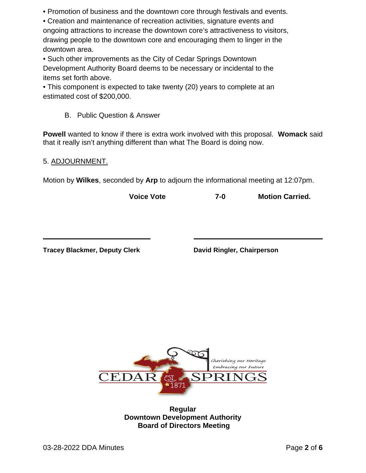• Promotion of business and the downtown core through festivals and events.

• Creation and maintenance of recreation activities, signature events and ongoing attractions to increase the downtown core's attractiveness to visitors, drawing people to the downtown core and encouraging them to linger in the downtown area.

• Such other improvements as the City of Cedar Springs Downtown Development Authority Board deems to be necessary or incidental to the items set forth above.

• This component is expected to take twenty (20) years to complete at an estimated cost of \$200,000.

B. Public Question & Answer

**Powell** wanted to know if there is extra work involved with this proposal. **Womack** said that it really isn't anything different than what The Board is doing now.

### 5. ADJOURNMENT.

Motion by **Wilkes**, seconded by **Arp** to adjourn the informational meeting at 12:07pm.

**Voice Vote 7-0 Motion Carried.**

**Tracey Blackmer, Deputy Clerk David Ringler, Chairperson**



**Regular Downtown Development Authority Board of Directors Meeting**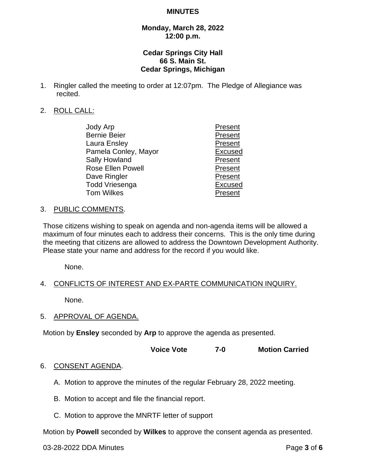#### **MINUTES**

### **Monday, March 28, 2022 12:00 p.m.**

### **Cedar Springs City Hall 66 S. Main St. Cedar Springs, Michigan**

1. Ringler called the meeting to order at 12:07pm. The Pledge of Allegiance was recited.

### 2. ROLL CALL:

| Jody Arp                 | Present        |
|--------------------------|----------------|
| <b>Bernie Beier</b>      | Present        |
| Laura Ensley             | Present        |
| Pamela Conley, Mayor     | <b>Excused</b> |
| <b>Sally Howland</b>     | Present        |
| <b>Rose Ellen Powell</b> | Present        |
| Dave Ringler             | Present        |
| Todd Vriesenga           | <b>Excused</b> |
| <b>Tom Wilkes</b>        | Present        |
|                          |                |

#### 3. PUBLIC COMMENTS.

Those citizens wishing to speak on agenda and non-agenda items will be allowed a maximum of four minutes each to address their concerns. This is the only time during the meeting that citizens are allowed to address the Downtown Development Authority. Please state your name and address for the record if you would like.

None.

### 4. CONFLICTS OF INTEREST AND EX-PARTE COMMUNICATION INQUIRY.

None.

5. APPROVAL OF AGENDA.

Motion by **Ensley** seconded by **Arp** to approve the agenda as presented.

**Voice Vote 7-0 Motion Carried**

#### 6. CONSENT AGENDA.

- A. Motion to approve the minutes of the regular February 28, 2022 meeting.
- B. Motion to accept and file the financial report.
- C. Motion to approve the MNRTF letter of support

Motion by **Powell** seconded by **Wilkes** to approve the consent agenda as presented.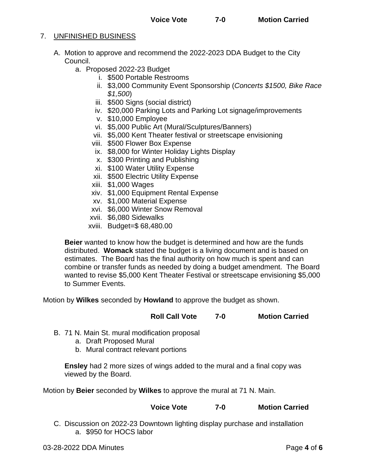### 7. UNFINISHED BUSINESS

- A. Motion to approve and recommend the 2022-2023 DDA Budget to the City Council.
	- a. Proposed 2022-23 Budget
		- i. \$500 Portable Restrooms
		- ii. \$3,000 Community Event Sponsorship (*Concerts \$1500, Bike Race \$1,500*)
		- iii. \$500 Signs (social district)
		- iv. \$20,000 Parking Lots and Parking Lot signage/improvements
		- v. \$10,000 Employee
		- vi. \$5,000 Public Art (Mural/Sculptures/Banners)
		- vii. \$5,000 Kent Theater festival or streetscape envisioning
		- viii. \$500 Flower Box Expense
		- ix. \$8,000 for Winter Holiday Lights Display
		- x. \$300 Printing and Publishing
		- xi. \$100 Water Utility Expense
		- xii. \$500 Electric Utility Expense
		- xiii. \$1,000 Wages
		- xiv. \$1,000 Equipment Rental Expense
		- xv. \$1,000 Material Expense
		- xvi. \$6,000 Winter Snow Removal
		- xvii. \$6,080 Sidewalks
		- xviii. Budget=\$ 68,480.00

**Beier** wanted to know how the budget is determined and how are the funds distributed. **Womack** stated the budget is a living document and is based on estimates. The Board has the final authority on how much is spent and can combine or transfer funds as needed by doing a budget amendment. The Board wanted to revise \$5,000 Kent Theater Festival or streetscape envisioning \$5,000 to Summer Events.

Motion by **Wilkes** seconded by **Howland** to approve the budget as shown.

**Roll Call Vote 7-0 Motion Carried**

- B. 71 N. Main St. mural modification proposal
	- a. Draft Proposed Mural
	- b. Mural contract relevant portions

**Ensley** had 2 more sizes of wings added to the mural and a final copy was viewed by the Board.

Motion by **Beier** seconded by **Wilkes** to approve the mural at 71 N. Main.

## **Voice Vote 7-0 Motion Carried**

C. Discussion on 2022-23 Downtown lighting display purchase and installation a. \$950 for HOCS labor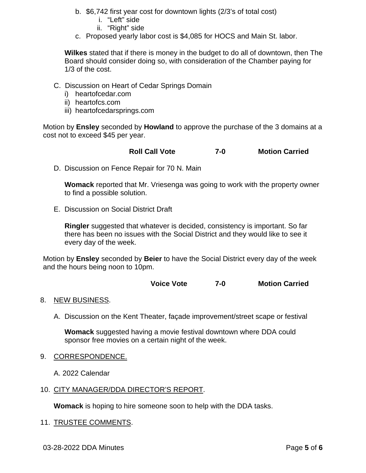- b. \$6,742 first year cost for downtown lights (2/3's of total cost)
	- i. "Left" side
	- ii. "Right" side
- c. Proposed yearly labor cost is \$4,085 for HOCS and Main St. labor.

**Wilkes** stated that if there is money in the budget to do all of downtown, then The Board should consider doing so, with consideration of the Chamber paying for 1/3 of the cost.

- C. Discussion on Heart of Cedar Springs Domain
	- i) heartofcedar.com
	- ii) heartofcs.com
	- iii) heartofcedarsprings.com

Motion by **Ensley** seconded by **Howland** to approve the purchase of the 3 domains at a cost not to exceed \$45 per year.

**Roll Call Vote 7-0 Motion Carried**

D. Discussion on Fence Repair for 70 N. Main

**Womack** reported that Mr. Vriesenga was going to work with the property owner to find a possible solution.

E. Discussion on Social District Draft

**Ringler** suggested that whatever is decided, consistency is important. So far there has been no issues with the Social District and they would like to see it every day of the week.

Motion by **Ensley** seconded by **Beier** to have the Social District every day of the week and the hours being noon to 10pm.

**Voice Vote 7-0 Motion Carried**

# 8. NEW BUSINESS.

A. Discussion on the Kent Theater, façade improvement/street scape or festival

**Womack** suggested having a movie festival downtown where DDA could sponsor free movies on a certain night of the week.

9. CORRESPONDENCE.

A. 2022 Calendar

10. CITY MANAGER/DDA DIRECTOR'S REPORT.

**Womack** is hoping to hire someone soon to help with the DDA tasks.

11. TRUSTEE COMMENTS.